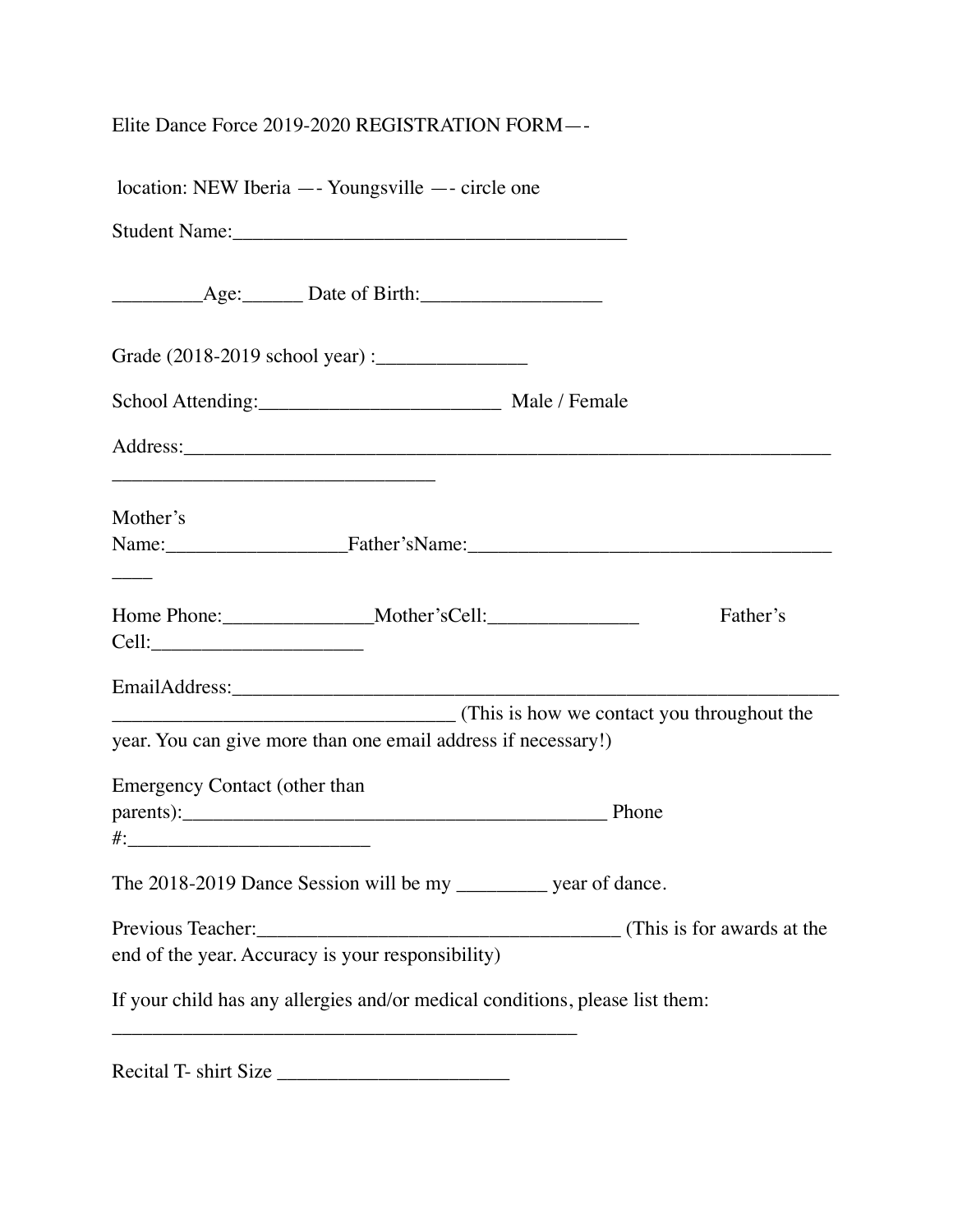## Elite Dance Force 2019-2020 REGISTRATION FORM—-

| location: NEW Iberia — Youngsville — circle one                                                            |  |
|------------------------------------------------------------------------------------------------------------|--|
|                                                                                                            |  |
|                                                                                                            |  |
|                                                                                                            |  |
|                                                                                                            |  |
|                                                                                                            |  |
| Mother's                                                                                                   |  |
| Name: Father'sName: Father's-Name:                                                                         |  |
| Father's<br>Cell:                                                                                          |  |
|                                                                                                            |  |
| This is how we contact you throughout the<br>year. You can give more than one email address if necessary!) |  |
| <b>Emergency Contact (other than</b>                                                                       |  |
| parents): Phone                                                                                            |  |
| The 2018-2019 Dance Session will be my ___________ year of dance.                                          |  |
|                                                                                                            |  |
| end of the year. Accuracy is your responsibility)                                                          |  |
| If your child has any allergies and/or medical conditions, please list them:                               |  |
| Recital T- shirt Size                                                                                      |  |